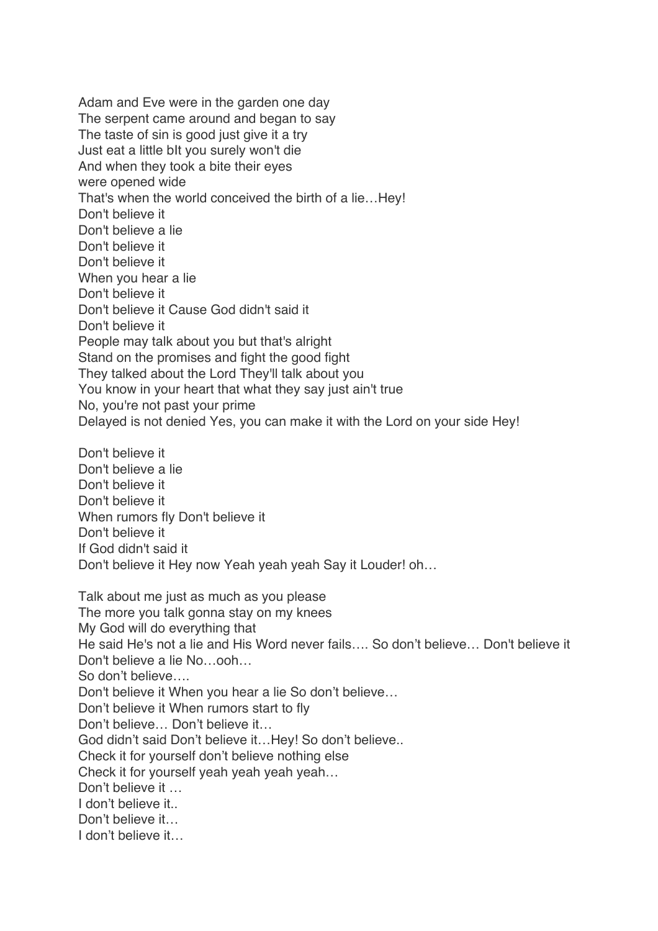Adam and Eve were in the garden one day The serpent came around and began to say The taste of sin is good just give it a try Just eat a little bIt you surely won't die And when they took a bite their eyes were opened wide That's when the world conceived the birth of a lie…Hey! Don't believe it Don't believe a lie Don't believe it Don't believe it When you hear a lie Don't believe it Don't believe it Cause God didn't said it Don't believe it People may talk about you but that's alright Stand on the promises and fight the good fight They talked about the Lord They'll talk about you You know in your heart that what they say just ain't true No, you're not past your prime Delayed is not denied Yes, you can make it with the Lord on your side Hey! Don't believe it Don't believe a lie Don't believe it Don't believe it When rumors fly Don't believe it Don't believe it If God didn't said it Don't believe it Hey now Yeah yeah yeah Say it Louder! oh… Talk about me just as much as you please The more you talk gonna stay on my knees My God will do everything that He said He's not a lie and His Word never fails…. So don't believe… Don't believe it Don't believe a lie No…ooh…

So don't believe….

Don't believe it When you hear a lie So don't believe…

Don't believe it When rumors start to fly

Don't believe… Don't believe it…

God didn't said Don't believe it…Hey! So don't believe..

Check it for yourself don't believe nothing else

Check it for yourself yeah yeah yeah yeah…

Don't believe it ...

I don't believe it...

Don't believe it

I don't believe it…